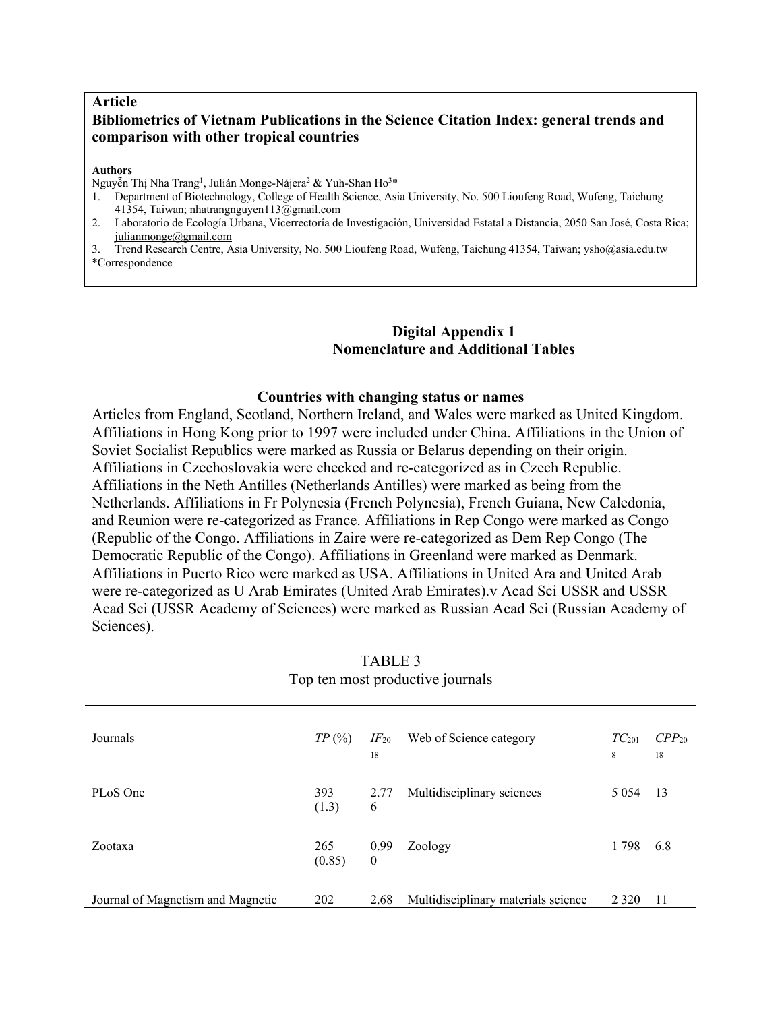## **Article Bibliometrics of Vietnam Publications in the Science Citation Index: general trends and comparison with other tropical countries**

#### **Authors**

Nguyễn Thị Nha Trang<sup>1</sup>, Julián Monge-Nájera<sup>2</sup> & Yuh-Shan Ho<sup>3</sup>\*

- 1. Department of Biotechnology, College of Health Science, Asia University, No. 500 Lioufeng Road, Wufeng, Taichung 41354, Taiwan; nhatrangnguyen113@gmail.com
- 2. Laboratorio de Ecología Urbana, Vicerrectoría de Investigación, Universidad Estatal a Distancia, 2050 San José, Costa Rica; julianmonge@gmail.com
- 3. Trend Research Centre, Asia University, No. 500 Lioufeng Road, Wufeng, Taichung 41354, Taiwan; ysho@asia.edu.tw \*Correspondence

## **Digital Appendix 1 Nomenclature and Additional Tables**

### **Countries with changing status or names**

Articles from England, Scotland, Northern Ireland, and Wales were marked as United Kingdom. Affiliations in Hong Kong prior to 1997 were included under China. Affiliations in the Union of Soviet Socialist Republics were marked as Russia or Belarus depending on their origin. Affiliations in Czechoslovakia were checked and re-categorized as in Czech Republic. Affiliations in the Neth Antilles (Netherlands Antilles) were marked as being from the Netherlands. Affiliations in Fr Polynesia (French Polynesia), French Guiana, New Caledonia, and Reunion were re-categorized as France. Affiliations in Rep Congo were marked as Congo (Republic of the Congo. Affiliations in Zaire were re-categorized as Dem Rep Congo (The Democratic Republic of the Congo). Affiliations in Greenland were marked as Denmark. Affiliations in Puerto Rico were marked as USA. Affiliations in United Ara and United Arab were re-categorized as U Arab Emirates (United Arab Emirates).v Acad Sci USSR and USSR Acad Sci (USSR Academy of Sciences) were marked as Russian Acad Sci (Russian Academy of Sciences).

| Top ten most productive journals  |               |                        |                                     |                 |                  |  |  |  |
|-----------------------------------|---------------|------------------------|-------------------------------------|-----------------|------------------|--|--|--|
| Journals                          | TP(%)         | $IF_{20}$<br>18        | Web of Science category             | $TC_{201}$<br>8 | $CPP_{20}$<br>18 |  |  |  |
| PLoS One                          | 393<br>(1.3)  | 2.77<br>6              | Multidisciplinary sciences          | 5 0 5 4         | -13              |  |  |  |
| Zootaxa                           | 265<br>(0.85) | 0.99<br>$\overline{0}$ | Zoology                             | 1798            | 6.8              |  |  |  |
| Journal of Magnetism and Magnetic | 202           | 2.68                   | Multidisciplinary materials science | 2 3 2 0         | 11               |  |  |  |

## TABLE 3 Top ten most productive journals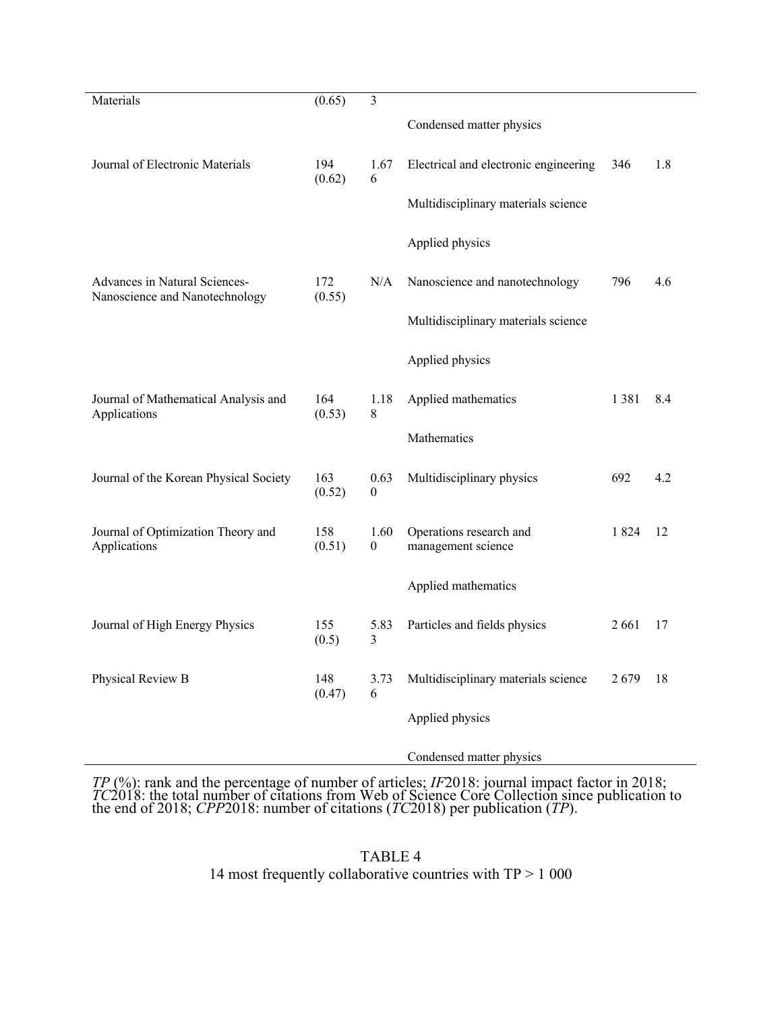| Materials                                                       | (0.65)        | 3                        |                                               |      |     |
|-----------------------------------------------------------------|---------------|--------------------------|-----------------------------------------------|------|-----|
|                                                                 |               |                          | Condensed matter physics                      |      |     |
| Journal of Electronic Materials                                 | 194<br>(0.62) | 1.67<br>6                | Electrical and electronic engineering         | 346  | 1.8 |
|                                                                 |               |                          | Multidisciplinary materials science           |      |     |
|                                                                 |               |                          | Applied physics                               |      |     |
| Advances in Natural Sciences-<br>Nanoscience and Nanotechnology | 172<br>(0.55) | N/A                      | Nanoscience and nanotechnology                | 796  | 4.6 |
|                                                                 |               |                          | Multidisciplinary materials science           |      |     |
|                                                                 |               |                          | Applied physics                               |      |     |
| Journal of Mathematical Analysis and<br>Applications            | 164<br>(0.53) | 1.18<br>$\,$ 8 $\,$      | Applied mathematics                           | 1381 | 8.4 |
|                                                                 |               |                          | Mathematics                                   |      |     |
| Journal of the Korean Physical Society                          | 163<br>(0.52) | 0.63<br>$\theta$         | Multidisciplinary physics                     | 692  | 4.2 |
| Journal of Optimization Theory and<br>Applications              | 158<br>(0.51) | 1.60<br>$\boldsymbol{0}$ | Operations research and<br>management science | 1824 | 12  |
|                                                                 |               |                          | Applied mathematics                           |      |     |
| Journal of High Energy Physics                                  | 155<br>(0.5)  | 5.83<br>3                | Particles and fields physics                  | 2661 | 17  |
| Physical Review B                                               | 148<br>(0.47) | 3.73<br>6                | Multidisciplinary materials science           | 2679 | 18  |
|                                                                 |               |                          | Applied physics                               |      |     |
|                                                                 |               |                          | Condensed matter physics                      |      |     |

TP (%): rank and the percentage of number of articles; IF2018: journal impact factor in 2018;<br>TC2018: the total number of citations from Web of Science Core Collection since publication to<br>the end of 2018; CPP2018: number

TABLE 4 14 most frequently collaborative countries with TP > 1 000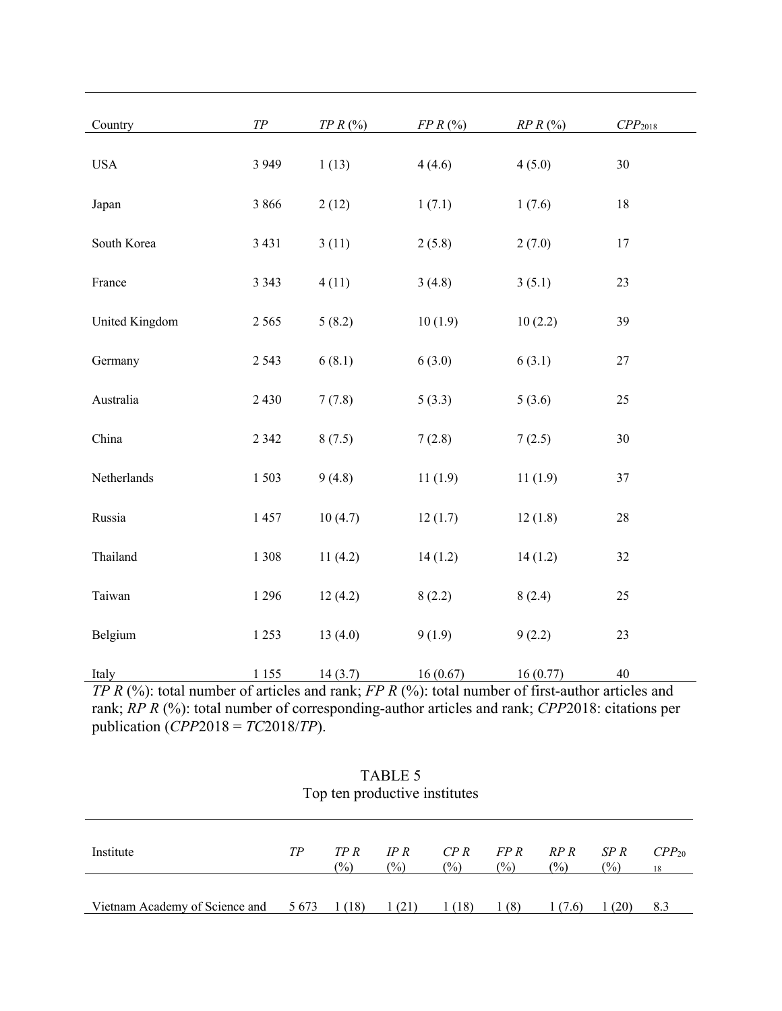| Country                                                    | $T\!P$                          | $TPR$ (%)                                                                     | $FPR$ (%)                  | $RPR$ (%)                                                 | CPP <sub>2018</sub>                  |
|------------------------------------------------------------|---------------------------------|-------------------------------------------------------------------------------|----------------------------|-----------------------------------------------------------|--------------------------------------|
| <b>USA</b>                                                 | 3 9 4 9                         | 1(13)                                                                         | 4(4.6)                     | 4(5.0)                                                    | 30                                   |
| Japan                                                      | 3 8 6 6                         | 2(12)                                                                         | 1(7.1)                     | 1(7.6)                                                    | $18\,$                               |
| South Korea                                                | 3 4 3 1                         | 3(11)                                                                         | 2(5.8)                     | 2(7.0)                                                    | 17                                   |
| France                                                     | 3 3 4 3                         | 4(11)                                                                         | 3(4.8)                     | 3(5.1)                                                    | 23                                   |
| United Kingdom                                             | 2 5 6 5                         | 5(8.2)                                                                        | 10(1.9)                    | 10(2.2)                                                   | 39                                   |
| Germany                                                    | 2 5 4 3                         | 6(8.1)                                                                        | 6(3.0)                     | 6(3.1)                                                    | $27\,$                               |
| Australia                                                  | 2 4 3 0                         | 7(7.8)                                                                        | 5(3.3)                     | 5(3.6)                                                    | 25                                   |
| China                                                      | 2 3 4 2                         | 8(7.5)                                                                        | 7(2.8)                     | 7(2.5)                                                    | 30                                   |
| Netherlands                                                | 1503                            | 9(4.8)                                                                        | 11(1.9)                    | 11(1.9)                                                   | 37                                   |
| Russia                                                     | 1457                            | 10(4.7)                                                                       | 12(1.7)                    | 12(1.8)                                                   | $28\,$                               |
| Thailand                                                   | 1 3 0 8                         | 11(4.2)                                                                       | 14(1.2)                    | 14(1.2)                                                   | 32                                   |
| Taiwan                                                     | 1 2 9 6                         | 12(4.2)                                                                       | 8(2.2)                     | 8(2.4)                                                    | 25                                   |
| Belgium                                                    | 1 2 5 3                         | 13(4.0)                                                                       | 9(1.9)                     | 9(2.2)                                                    | 23                                   |
| Italy<br>$T \cap D$ (0/) $\rightarrow$ 1<br>$\blacksquare$ | 1 1 5 5<br>11.1<br>$\mathbf{r}$ | 14(3.7)<br>$1 \quad \text{FDD} \quad (0/2) \quad 1 \quad 1$<br>1 <sup>1</sup> | 16(0.67)<br>$\blacksquare$ | 16(0.77)<br>$\mathcal{C}$ $\mathcal{C}$<br>$\overline{1}$ | 40<br>$\mathbf{r}$ 1<br>$\mathbf{1}$ |

*TP R* (%): total number of articles and rank; *FP R* (%): total number of first-author articles and rank; *RP R* (%): total number of corresponding-author articles and rank; *CPP*2018: citations per publication (*CPP*2018 = *TC*2018/*TP*).

| Top ten productive institutes                                 |    |                        |                       |                |                       |                |                       |                  |  |
|---------------------------------------------------------------|----|------------------------|-----------------------|----------------|-----------------------|----------------|-----------------------|------------------|--|
| Institute                                                     | TР | TP R<br>$\binom{0}{0}$ | IP R<br>$\frac{6}{2}$ | $\frac{1}{2}$  | $CPR$ $FPR$<br>$(\%)$ | RP R<br>$(\%)$ | SP R<br>$\frac{1}{2}$ | $CPP_{20}$<br>18 |  |
| Vietnam Academy of Science and $5673 \quad 1(18) \quad 1(21)$ |    |                        |                       | $1(18)$ $1(8)$ |                       | 1(7.6)         | 1(20)                 | 8.3              |  |

# TABLE 5 Top ten productive institutes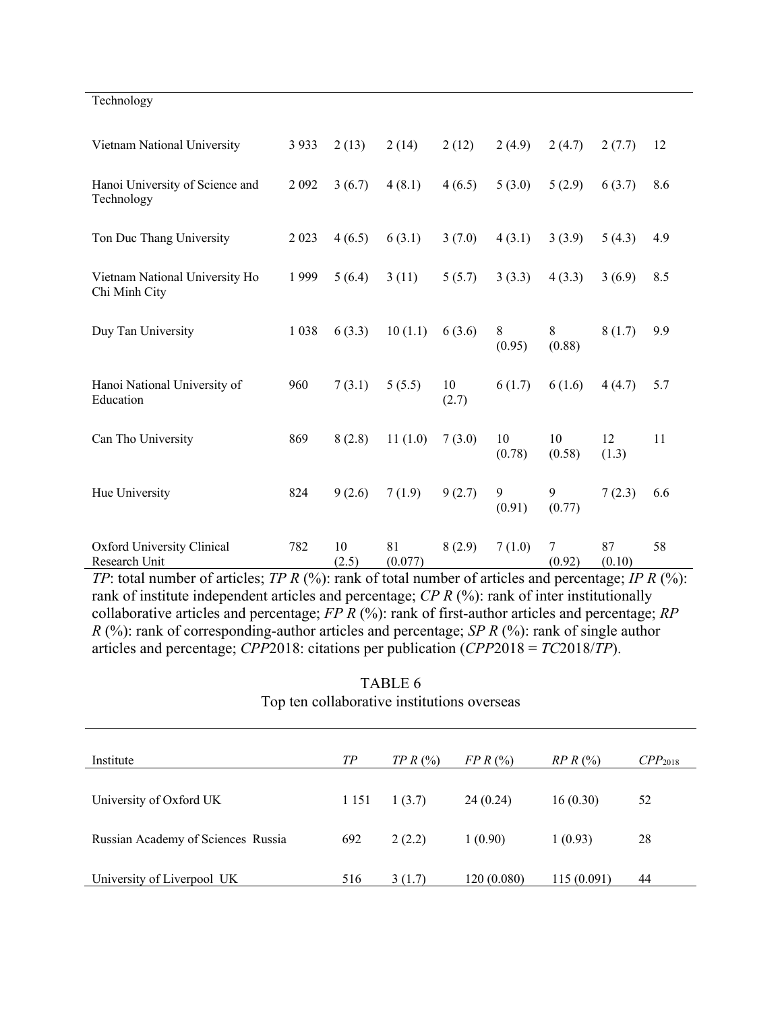| Technology                                      |         |             |               |             |              |              |              |     |
|-------------------------------------------------|---------|-------------|---------------|-------------|--------------|--------------|--------------|-----|
| Vietnam National University                     | 3 9 3 3 | 2(13)       | 2(14)         | 2(12)       | 2(4.9)       | 2(4.7)       | 2(7.7)       | 12  |
| Hanoi University of Science and<br>Technology   | 2092    | 3(6.7)      | 4(8.1)        | 4(6.5)      | 5(3.0)       | 5(2.9)       | 6(3.7)       | 8.6 |
| Ton Duc Thang University                        | 2 0 23  | 4(6.5)      | 6(3.1)        | 3(7.0)      | 4(3.1)       | 3(3.9)       | 5(4.3)       | 4.9 |
| Vietnam National University Ho<br>Chi Minh City | 1999    | 5(6.4)      | 3(11)         | 5(5.7)      | 3(3.3)       | 4(3.3)       | 3(6.9)       | 8.5 |
| Duy Tan University                              | 1 0 38  | 6(3.3)      | 10(1.1)       | 6(3.6)      | 8<br>(0.95)  | 8<br>(0.88)  | 8(1.7)       | 9.9 |
| Hanoi National University of<br>Education       | 960     | 7(3.1)      | 5(5.5)        | 10<br>(2.7) | 6(1.7)       | 6(1.6)       | 4(4.7)       | 5.7 |
| Can Tho University                              | 869     | 8(2.8)      | 11(1.0)       | 7(3.0)      | 10<br>(0.78) | 10<br>(0.58) | 12<br>(1.3)  | 11  |
| Hue University                                  | 824     | 9(2.6)      | 7(1.9)        | 9(2.7)      | 9<br>(0.91)  | 9<br>(0.77)  | 7(2.3)       | 6.6 |
| Oxford University Clinical<br>Research Unit     | 782     | 10<br>(2.5) | 81<br>(0.077) | 8(2.9)      | 7(1.0)       | 7<br>(0.92)  | 87<br>(0.10) | 58  |

*TP*: total number of articles; *TP R (%)*: rank of total number of articles and percentage; *IP R (%)*: rank of institute independent articles and percentage; *CP R* (%): rank of inter institutionally collaborative articles and percentage; *FP R* (%): rank of first-author articles and percentage; *RP R* (%): rank of corresponding-author articles and percentage; *SP R* (%): rank of single author articles and percentage; *CPP*2018: citations per publication (*CPP*2018 = *TC*2018/*TP*).

> TABLE 6 Top ten collaborative institutions overseas

| Institute                          | TP      | TPR(%) | $FPR$ (%)   | $RPR$ (%)  | CPP <sub>2018</sub> |
|------------------------------------|---------|--------|-------------|------------|---------------------|
| University of Oxford UK            | 1 1 5 1 | 1(3.7) | 24(0.24)    | 16(0.30)   | 52                  |
| Russian Academy of Sciences Russia | 692     | 2(2.2) | 1(0.90)     | 1(0.93)    | 28                  |
| University of Liverpool UK         | 516     | 3(1.7) | 120 (0.080) | 115(0.091) | 44                  |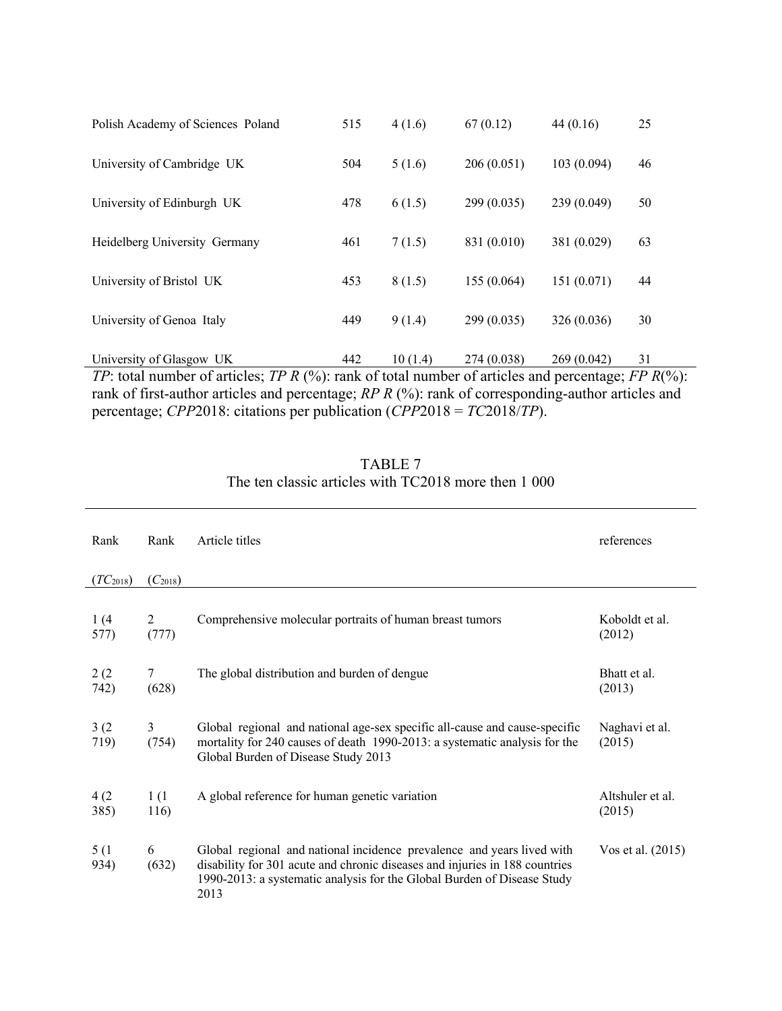| 515 | 4(1.6)  | 67(0.12)    | 44(0.16)    | 25                                                                                                         |
|-----|---------|-------------|-------------|------------------------------------------------------------------------------------------------------------|
| 504 | 5(1.6)  | 206(0.051)  | 103(0.094)  | 46                                                                                                         |
| 478 | 6(1.5)  | 299 (0.035) | 239 (0.049) | 50                                                                                                         |
| 461 | 7(1.5)  | 831 (0.010) | 381 (0.029) | 63                                                                                                         |
| 453 | 8(1.5)  | 155 (0.064) | 151(0.071)  | 44                                                                                                         |
| 449 | 9(1.4)  | 299(0.035)  | 326 (0.036) | 30                                                                                                         |
| 442 | 10(1.4) | 274 (0.038) | 269 (0.042) | 31                                                                                                         |
|     |         |             |             | TP: total number of articles; TP R $(\%)$ : rank of total number of articles and percentage; FP R $(\%)$ : |

rank of first-author articles and percentage; *RP R* (%): rank of corresponding-author articles and percentage; *CPP*2018: citations per publication (*CPP*2018 = *TC*2018/*TP*).

| TABLE 7                                              |  |
|------------------------------------------------------|--|
| The ten classic articles with TC2018 more then 1 000 |  |

| Rank          | Rank         | Article titles                                                                                                                                                                                                                           | references                 |
|---------------|--------------|------------------------------------------------------------------------------------------------------------------------------------------------------------------------------------------------------------------------------------------|----------------------------|
| $(TC_{2018})$ | $(C_{2018})$ |                                                                                                                                                                                                                                          |                            |
| 1(4)<br>577)  | 2<br>(777)   | Comprehensive molecular portraits of human breast tumors                                                                                                                                                                                 | Koboldt et al.<br>(2012)   |
| 2(2)<br>742)  | 7<br>(628)   | The global distribution and burden of dengue                                                                                                                                                                                             | Bhatt et al.<br>(2013)     |
| 3(2)<br>719)  | 3<br>(754)   | Global regional and national age-sex specific all-cause and cause-specific<br>mortality for 240 causes of death 1990-2013: a systematic analysis for the<br>Global Burden of Disease Study 2013                                          | Naghavi et al.<br>(2015)   |
| 4(2)<br>385)  | 1(1<br>116)  | A global reference for human genetic variation                                                                                                                                                                                           | Altshuler et al.<br>(2015) |
| 5(1)<br>934)  | 6<br>(632)   | Global regional and national incidence prevalence and years lived with<br>disability for 301 acute and chronic diseases and injuries in 188 countries<br>1990-2013: a systematic analysis for the Global Burden of Disease Study<br>2013 | Vos et al. (2015)          |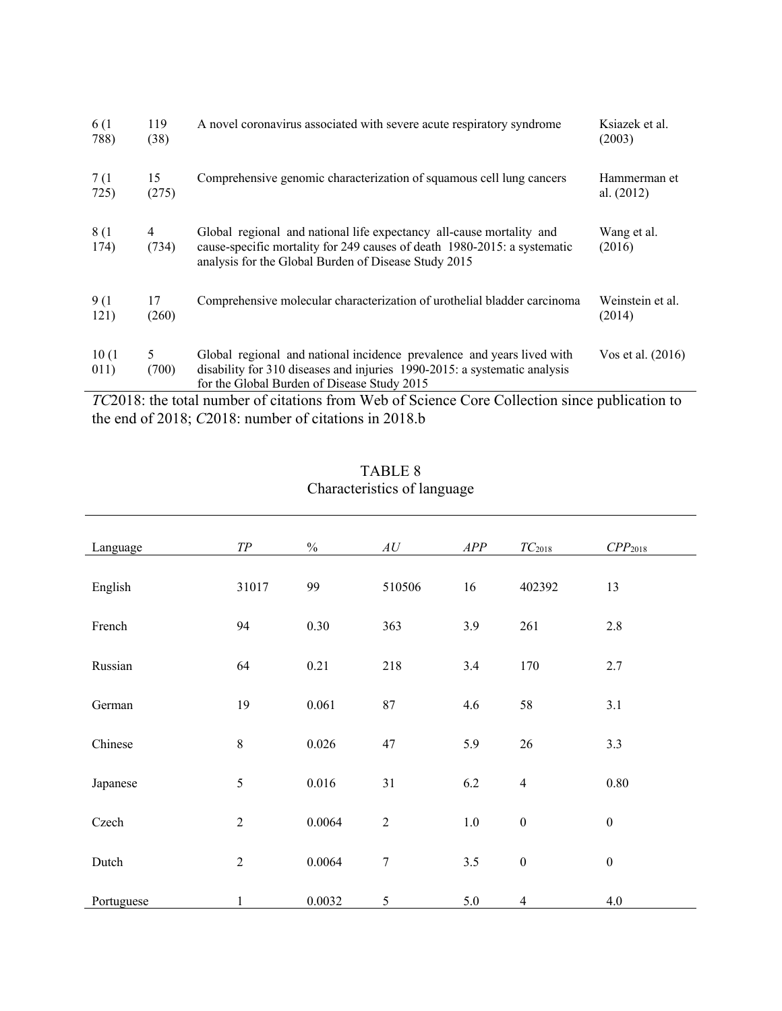| 6 (1)         | 119        | A novel coronavirus associated with severe acute respiratory syndrome                                                                                                                                                              | Ksiazek et al.            |
|---------------|------------|------------------------------------------------------------------------------------------------------------------------------------------------------------------------------------------------------------------------------------|---------------------------|
| 788)          | (38)       |                                                                                                                                                                                                                                    | (2003)                    |
| 7 (1          | 15         | Comprehensive genomic characterization of squamous cell lung cancers                                                                                                                                                               | Hammerman et              |
| 725)          | (275)      |                                                                                                                                                                                                                                    | al. $(2012)$              |
| 8(1)<br>174)  | 4<br>(734) | Global regional and national life expectancy all-cause mortality and<br>cause-specific mortality for 249 causes of death 1980-2015: a systematic<br>analysis for the Global Burden of Disease Study 2015                           | Wang et al.<br>(2016)     |
| 9(1)          | 17         | Comprehensive molecular characterization of urothelial bladder carcinoma                                                                                                                                                           | Weinstein et al.          |
| 121)          | (260)      |                                                                                                                                                                                                                                    | (2014)                    |
| 10(1)<br>011) | 5<br>(700) | Global regional and national incidence prevalence and years lived with<br>disability for 310 diseases and injuries 1990-2015: a systematic analysis<br>for the Global Burden of Disease Study 2015<br>$\sim$ 11 $\cdot$<br>$T = 1$ | Vos et al. (2016)<br>1.1. |

*TC*2018: the total number of citations from Web of Science Core Collection since publication to the end of 2018; *C*2018: number of citations in 2018.b

| Language   | $T\!P$         | $\frac{0}{0}$ | $\boldsymbol{A}\boldsymbol{U}$ | APP     | $TC_{2018}$      | CPP <sub>2018</sub> |
|------------|----------------|---------------|--------------------------------|---------|------------------|---------------------|
| English    | 31017          | 99            | 510506                         | 16      | 402392           | 13                  |
| French     | 94             | 0.30          | 363                            | 3.9     | 261              | 2.8                 |
| Russian    | 64             | 0.21          | 218                            | 3.4     | 170              | 2.7                 |
| German     | 19             | 0.061         | $87\,$                         | 4.6     | 58               | 3.1                 |
| Chinese    | $\,8\,$        | 0.026         | 47                             | 5.9     | 26               | 3.3                 |
| Japanese   | 5              | 0.016         | 31                             | 6.2     | $\overline{4}$   | 0.80                |
| Czech      | $\overline{2}$ | 0.0064        | $\sqrt{2}$                     | $1.0\,$ | $\boldsymbol{0}$ | $\boldsymbol{0}$    |
| Dutch      | $\overline{2}$ | 0.0064        | $\boldsymbol{7}$               | 3.5     | $\boldsymbol{0}$ | $\boldsymbol{0}$    |
| Portuguese | $\mathbf{1}$   | 0.0032        | 5                              | 5.0     | $\overline{4}$   | 4.0                 |

TABLE 8 Characteristics of language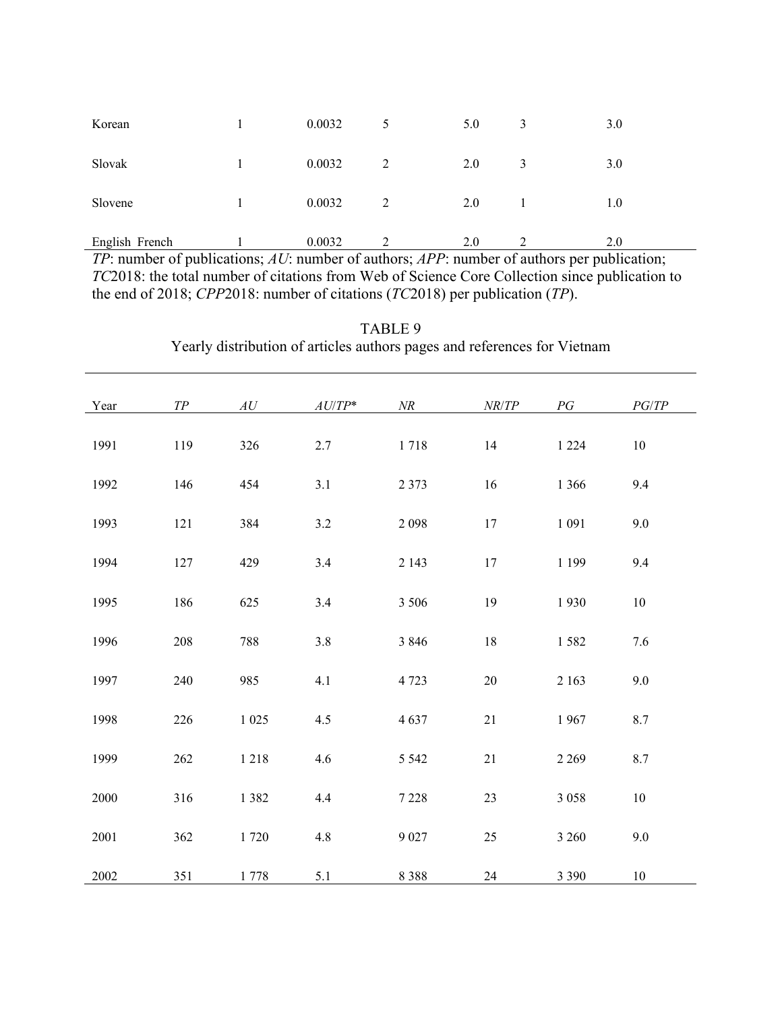| Korean         | 0.0032 | 5             | 5.0 | 3 | 3.0 |
|----------------|--------|---------------|-----|---|-----|
| Slovak         | 0.0032 | $\mathcal{D}$ | 2.0 | 3 | 3.0 |
| Slovene        | 0.0032 | $\mathcal{D}$ | 2.0 |   | 1.0 |
| English French | 0.0032 |               | 2.0 | ∍ | 2.0 |

*TP*: number of publications; *AU*: number of authors; *APP*: number of authors per publication; *TC*2018: the total number of citations from Web of Science Core Collection since publication to the end of 2018; *CPP*2018: number of citations (*TC*2018) per publication (*TP*).

| Year     | ${\cal T\!P}$ | $\boldsymbol{A}\boldsymbol{U}$ | $AU/TP^*$ | $N\!R$  | NR/TP  | PG      | $PG/TP$ |
|----------|---------------|--------------------------------|-----------|---------|--------|---------|---------|
| 1991     | 119           | 326                            | $2.7\,$   | 1718    | $14\,$ | 1 2 2 4 | $10\,$  |
| 1992     | 146           | 454                            | 3.1       | 2 3 7 3 | 16     | 1 3 6 6 | 9.4     |
| 1993     | 121           | 384                            | 3.2       | 2 0 9 8 | $17\,$ | 1 0 9 1 | 9.0     |
| 1994     | 127           | 429                            | 3.4       | 2 1 4 3 | $17\,$ | 1 1 9 9 | 9.4     |
| 1995     | 186           | 625                            | 3.4       | 3 5 0 6 | 19     | 1930    | $10\,$  |
| 1996     | $208\,$       | 788                            | 3.8       | 3 8 4 6 | $18\,$ | 1582    | 7.6     |
| 1997     | 240           | 985                            | 4.1       | 4 7 23  | $20\,$ | 2 1 6 3 | $9.0\,$ |
| 1998     | $226\,$       | 1 0 2 5                        | 4.5       | 4637    | 21     | 1967    | 8.7     |
| 1999     | $262\,$       | 1218                           | 4.6       | 5 5 4 2 | 21     | 2 2 6 9 | $8.7\,$ |
| 2000     | 316           | 1 3 8 2                        | 4.4       | 7 2 2 8 | 23     | 3 0 5 8 | $10\,$  |
| 2001     | 362           | 1720                           | 4.8       | 9 0 27  | 25     | 3 2 6 0 | 9.0     |
| $2002\,$ | 351           | $1\;778$                       | 5.1       | 8 3 8 8 | 24     | 3 3 9 0 | 10      |

TABLE 9 Yearly distribution of articles authors pages and references for Vietnam